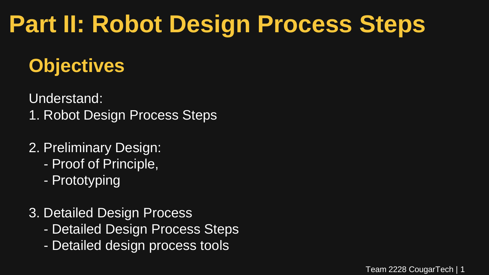## **Part II: Robot Design Process Steps**

### **Objectives**

Understand:

- 1. Robot Design Process Steps
- 2. Preliminary Design:
	- Proof of Principle,
	- Prototyping
- 3. Detailed Design Process
	- Detailed Design Process Steps
	- Detailed design process tools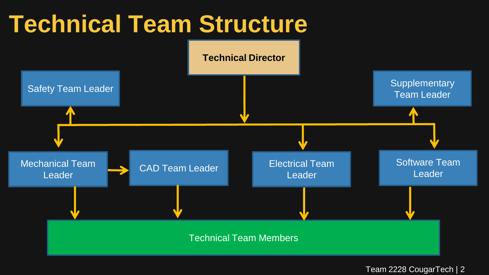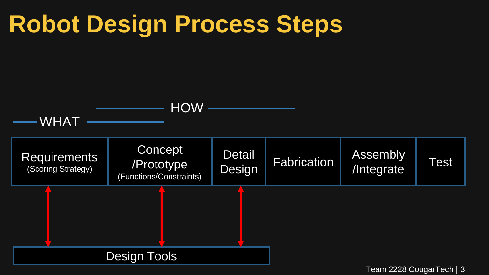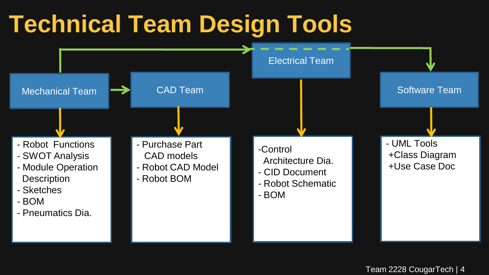### **Technical Team Design Tools**

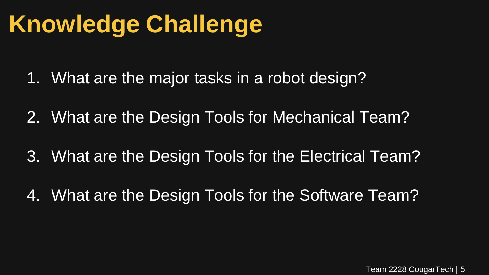- 1. What are the major tasks in a robot design?
- 2. What are the Design Tools for Mechanical Team?
- 3. What are the Design Tools for the Electrical Team?
- 4. What are the Design Tools for the Software Team?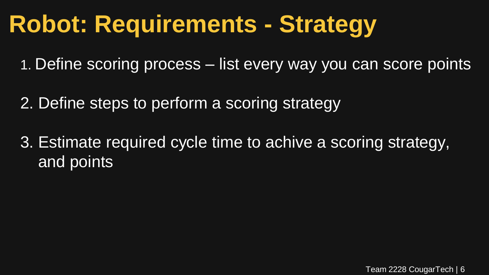## **Robot: Requirements - Strategy**

- 1. Define scoring process list every way you can score points
- 2. Define steps to perform a scoring strategy
- 3. Estimate required cycle time to achive a scoring strategy, and points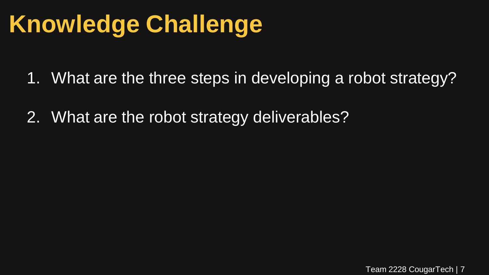- 1. What are the three steps in developing a robot strategy?
- 2. What are the robot strategy deliverables?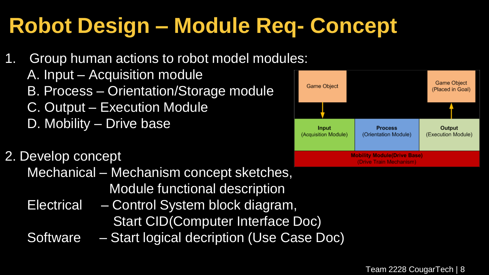### **Robot Design – Module Req- Concept**

- 1. Group human actions to robot model modules:
	- A. Input Acquisition module
	- B. Process Orientation/Storage module
	- C. Output Execution Module
	- D. Mobility Drive base

#### 2. Develop concept

- Mechanical Mechanism concept sketches, Module functional description
- Electrical Control System block diagram, Start CID(Computer Interface Doc)
- Software Start logical decription (Use Case Doc)

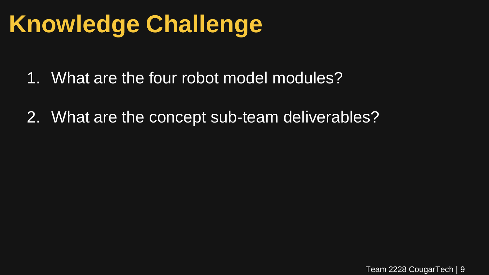- 1. What are the four robot model modules?
- 2. What are the concept sub-team deliverables?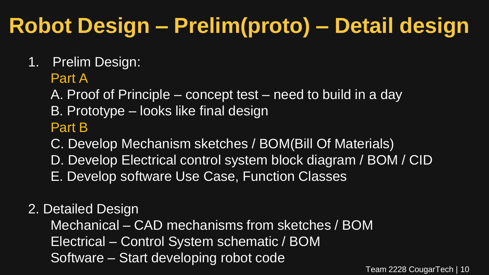### **Robot Design – Prelim(proto) – Detail design**

1. Prelim Design:

#### Part A

A. Proof of Principle – concept test – need to build in a day

B. Prototype – looks like final design

#### Part B

C. Develop Mechanism sketches / BOM(Bill Of Materials)

- D. Develop Electrical control system block diagram / BOM / CID
- E. Develop software Use Case, Function Classes

#### 2. Detailed Design

 Mechanical – CAD mechanisms from sketches / BOM Electrical – Control System schematic / BOM Software – Start developing robot code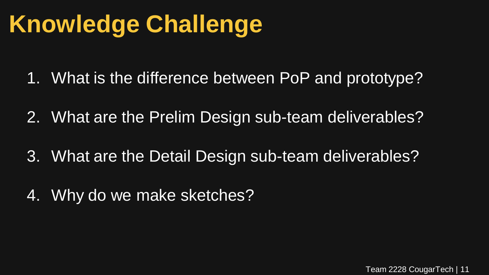- 1. What is the difference between PoP and prototype?
- 2. What are the Prelim Design sub-team deliverables?
- 3. What are the Detail Design sub-team deliverables?
- 4. Why do we make sketches?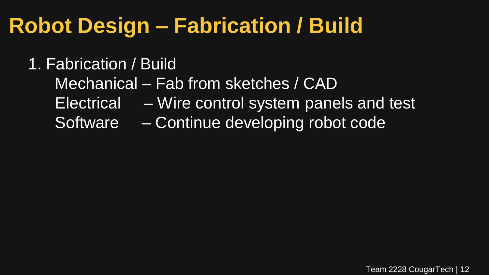### **Robot Design – Fabrication / Build**

### 1. Fabrication / Build

- Mechanical Fab from sketches / CAD
- Electrical Wire control system panels and test
- Software Continue developing robot code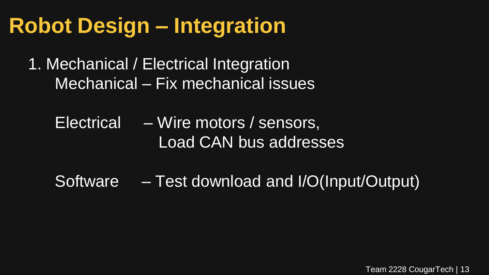### **Robot Design – Integration**

- 1. Mechanical / Electrical Integration Mechanical – Fix mechanical issues
	- Electrical Wire motors / sensors, Load CAN bus addresses
	- Software Test download and I/O(Input/Output)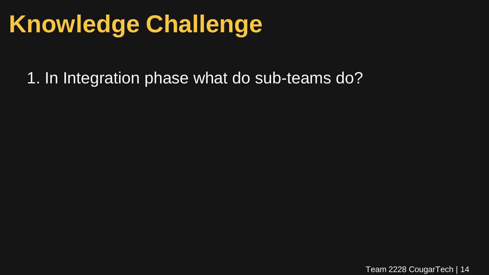1. In Integration phase what do sub-teams do?